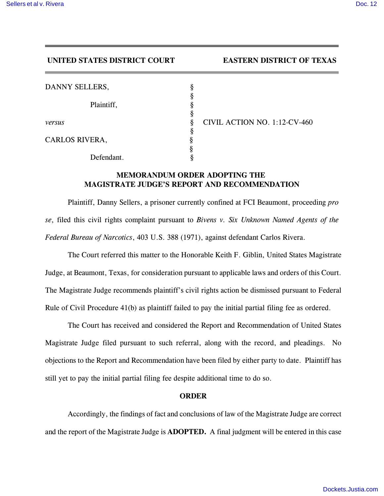## **UNITED STATES DISTRICT COURT EASTERN DISTRICT OF TEXAS**

| DANNY SELLERS, |  |
|----------------|--|
| Plaintiff,     |  |
|                |  |
| versus         |  |
|                |  |
| CARLOS RIVERA, |  |
|                |  |
| Defendant.     |  |

*versus* § CIVIL ACTION NO. 1:12-CV-460

## **MEMORANDUM ORDER ADOPTING THE MAGISTRATE JUDGE'S REPORT AND RECOMMENDATION**

Plaintiff, Danny Sellers, a prisoner currently confined at FCI Beaumont, proceeding *pro se*, filed this civil rights complaint pursuant to *Bivens v. Six Unknown Named Agents of the Federal Bureau of Narcotics*, 403 U.S. 388 (1971), against defendant Carlos Rivera.

The Court referred this matter to the Honorable Keith F. Giblin, United States Magistrate Judge, at Beaumont, Texas, for consideration pursuant to applicable laws and orders of this Court. The Magistrate Judge recommends plaintiff's civil rights action be dismissed pursuant to Federal Rule of Civil Procedure 41(b) as plaintiff failed to pay the initial partial filing fee as ordered.

The Court has received and considered the Report and Recommendation of United States Magistrate Judge filed pursuant to such referral, along with the record, and pleadings. No objections to the Report and Recommendation have been filed by either party to date. Plaintiff has still yet to pay the initial partial filing fee despite additional time to do so.

## **ORDER**

Accordingly, the findings of fact and conclusions of law of the Magistrate Judge are correct and the report of the Magistrate Judge is **ADOPTED.** A final judgment will be entered in this case